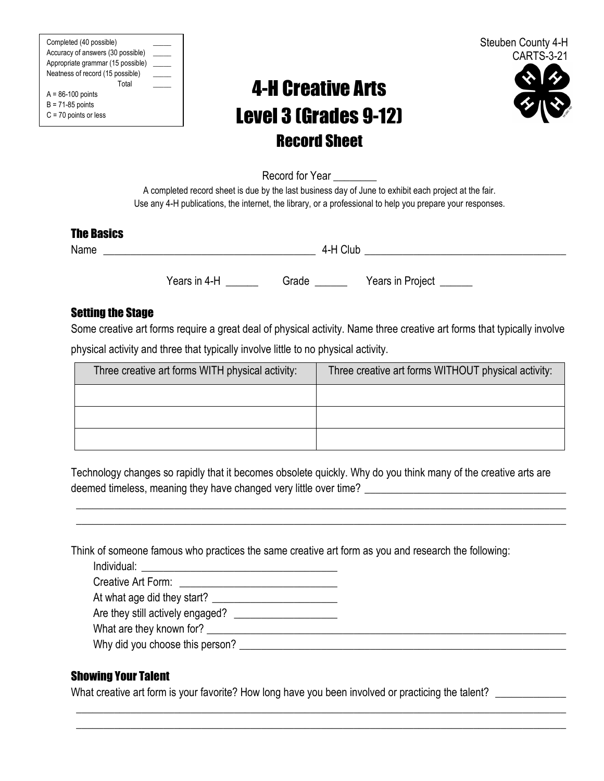Completed (40 possible) \_\_\_\_\_ Accuracy of answers (30 possible) Appropriate grammar (15 possible) Neatness of record (15 possible) \_\_\_\_\_ Total \_\_\_\_\_  $A = 86-100$  points  $B = 71-85$  points

C = 70 points or less

# 4-H Creative Arts Level 3 (Grades 9-12) Record Sheet



Record for Year

A completed record sheet is due by the last business day of June to exhibit each project at the fair. Use any 4-H publications, the internet, the library, or a professional to help you prepare your responses.

### The Basics

Name  $4-H$  Club

Years in 4-H Grade Nears in Project

## Setting the Stage

Some creative art forms require a great deal of physical activity. Name three creative art forms that typically involve physical activity and three that typically involve little to no physical activity.

| Three creative art forms WITH physical activity: | Three creative art forms WITHOUT physical activity: |
|--------------------------------------------------|-----------------------------------------------------|
|                                                  |                                                     |
|                                                  |                                                     |
|                                                  |                                                     |

Technology changes so rapidly that it becomes obsolete quickly. Why do you think many of the creative arts are deemed timeless, meaning they have changed very little over time?

\_\_\_\_\_\_\_\_\_\_\_\_\_\_\_\_\_\_\_\_\_\_\_\_\_\_\_\_\_\_\_\_\_\_\_\_\_\_\_\_\_\_\_\_\_\_\_\_\_\_\_\_\_\_\_\_\_\_\_\_\_\_\_\_\_\_\_\_\_\_\_\_\_\_\_\_\_\_\_\_\_\_\_\_\_\_\_\_\_\_ \_\_\_\_\_\_\_\_\_\_\_\_\_\_\_\_\_\_\_\_\_\_\_\_\_\_\_\_\_\_\_\_\_\_\_\_\_\_\_\_\_\_\_\_\_\_\_\_\_\_\_\_\_\_\_\_\_\_\_\_\_\_\_\_\_\_\_\_\_\_\_\_\_\_\_\_\_\_\_\_\_\_\_\_\_\_\_\_\_\_

\_\_\_\_\_\_\_\_\_\_\_\_\_\_\_\_\_\_\_\_\_\_\_\_\_\_\_\_\_\_\_\_\_\_\_\_\_\_\_\_\_\_\_\_\_\_\_\_\_\_\_\_\_\_\_\_\_\_\_\_\_\_\_\_\_\_\_\_\_\_\_\_\_\_\_\_\_\_\_\_\_\_\_\_\_\_\_\_\_\_ \_\_\_\_\_\_\_\_\_\_\_\_\_\_\_\_\_\_\_\_\_\_\_\_\_\_\_\_\_\_\_\_\_\_\_\_\_\_\_\_\_\_\_\_\_\_\_\_\_\_\_\_\_\_\_\_\_\_\_\_\_\_\_\_\_\_\_\_\_\_\_\_\_\_\_\_\_\_\_\_\_\_\_\_\_\_\_\_\_\_

Think of someone famous who practices the same creative art form as you and research the following:

Individual:  $\qquad \qquad \qquad$ 

Creative Art Form:

At what age did they start? \_\_\_\_\_\_\_\_\_\_\_\_\_\_\_\_\_\_\_\_\_\_\_

Are they still actively engaged? \_\_\_\_\_\_\_\_\_\_\_\_\_\_\_\_\_\_\_

What are they known for? \_\_\_\_\_\_\_\_\_\_\_\_\_\_\_\_\_\_\_\_\_\_\_\_\_\_\_\_\_\_\_\_\_\_\_\_\_\_\_\_\_\_\_\_\_\_\_\_\_\_\_\_\_\_\_\_\_\_\_\_\_\_\_\_\_\_

Why did you choose this person? \_\_\_\_\_\_\_\_\_\_\_\_\_\_\_\_\_\_\_\_\_\_\_\_\_\_\_\_\_\_\_\_\_\_\_\_\_\_\_\_\_\_\_\_\_\_\_\_\_\_\_\_\_\_\_\_\_\_\_\_

## Showing Your Talent

What creative art form is your favorite? How long have you been involved or practicing the talent? \_\_\_\_\_\_\_\_\_\_\_